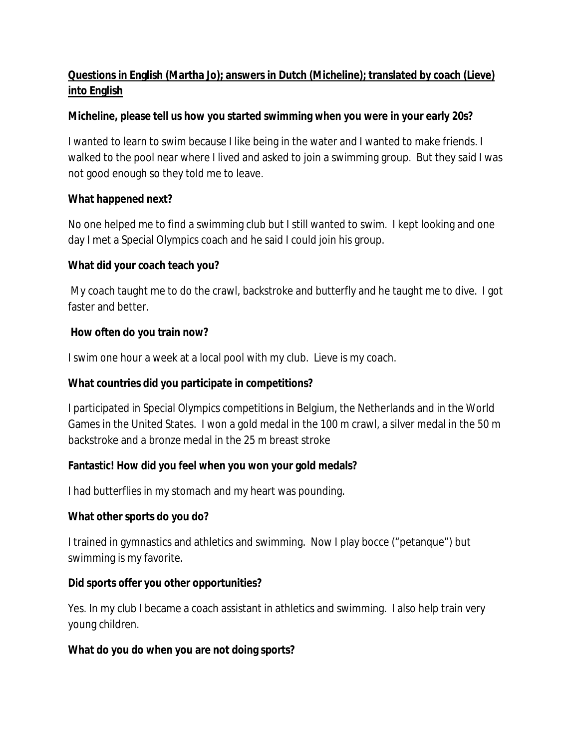## **Questions in English (Martha Jo); answers in Dutch (Micheline); translated by coach (Lieve) into English**

**Micheline, please tell us how you started swimming when you were in your early 20s?** 

I wanted to learn to swim because I like being in the water and I wanted to make friends. I walked to the pool near where I lived and asked to join a swimming group. But they said I was not good enough so they told me to leave.

**What happened next?**

No one helped me to find a swimming club but I still wanted to swim. I kept looking and one day I met a Special Olympics coach and he said I could join his group.

**What did your coach teach you?**

 My coach taught me to do the crawl, backstroke and butterfly and he taught me to dive. I got faster and better.

 **How often do you train now?**

I swim one hour a week at a local pool with my club. Lieve is my coach.

**What countries did you participate in competitions?**

I participated in Special Olympics competitions in Belgium, the Netherlands and in the World Games in the United States. I won a gold medal in the 100 m crawl, a silver medal in the 50 m backstroke and a bronze medal in the 25 m breast stroke

**Fantastic! How did you feel when you won your gold medals?**

I had butterflies in my stomach and my heart was pounding.

**What other sports do you do?**

I trained in gymnastics and athletics and swimming. Now I play bocce ("petanque") but swimming is my favorite.

**Did sports offer you other opportunities?**

Yes. In my club I became a coach assistant in athletics and swimming. I also help train very young children.

**What do you do when you are not doing sports?**